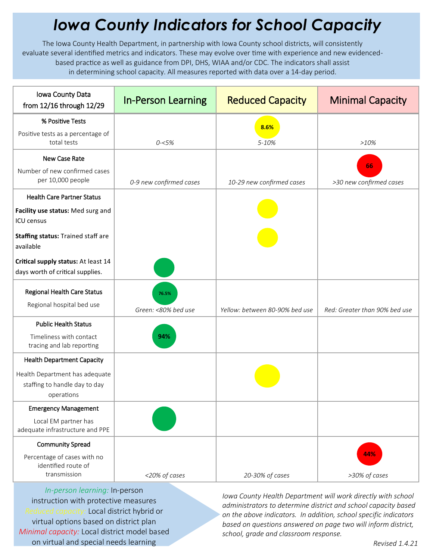## *Iowa County Indicators for School Capacity*

The Iowa County Health Department, in partnership with Iowa County school districts, will consistently evaluate several identified metrics and indicators. These may evolve over time with experience and new evidencedbased practice as well as guidance from DPI, DHS, WIAA and/or CDC. The indicators shall assist in determining school capacity. All measures reported with data over a 14-day period.

| Iowa County Data<br>from 12/16 through 12/29                                  | <b>In-Person Learning</b>    | <b>Reduced Capacity</b>        | <b>Minimal Capacity</b>       |
|-------------------------------------------------------------------------------|------------------------------|--------------------------------|-------------------------------|
| % Positive Tests                                                              |                              | 8.6%                           |                               |
| Positive tests as a percentage of<br>total tests                              | $0 - 5%$                     | 5-10%                          | $>10\%$                       |
| <b>New Case Rate</b>                                                          |                              |                                |                               |
| Number of new confirmed cases<br>per 10,000 people                            | 0-9 new confirmed cases      | 10-29 new confirmed cases      | 66<br>>30 new confirmed cases |
| <b>Health Care Partner Status</b>                                             |                              |                                |                               |
| Facility use status: Med surg and<br>ICU census                               |                              |                                |                               |
| Staffing status: Trained staff are<br>available                               |                              |                                |                               |
| Critical supply status: At least 14<br>days worth of critical supplies.       |                              |                                |                               |
| <b>Regional Health Care Status</b><br>Regional hospital bed use               | 76.5%<br>Green: <80% bed use | Yellow: between 80-90% bed use | Red: Greater than 90% bed use |
| <b>Public Health Status</b>                                                   |                              |                                |                               |
| Timeliness with contact<br>tracing and lab reporting                          | 94%                          |                                |                               |
| <b>Health Department Capacity</b>                                             |                              |                                |                               |
| Health Department has adequate<br>staffing to handle day to day<br>operations |                              |                                |                               |
| <b>Emergency Management</b>                                                   |                              |                                |                               |
| Local EM partner has<br>adequate infrastructure and PPE                       |                              |                                |                               |
| <b>Community Spread</b>                                                       |                              |                                |                               |
| Percentage of cases with no<br>identified route of<br>transmission            | <20% of cases                | 20-30% of cases                | 44%<br>>30% of cases          |

*In-person learning:* In-person instruction with protective measures *Reduced capacity:* Local district hybrid or virtual options based on district plan *Minimal capacity:* Local district model based on virtual and special needs learning

*Iowa County Health Department will work directly with school administrators to determine district and school capacity based on the above indicators. In addition, school specific indicators based on questions answered on page two will inform district, school, grade and classroom response.*